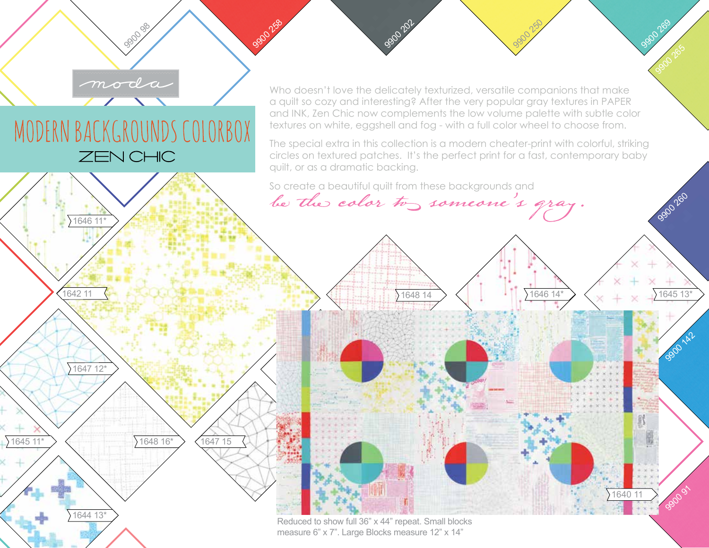Who doesn't love the delicately texturized, versatile companions that make a quilt so cozy and interesting? After the very popular gray textures in PAPER and INK, Zen Chic now complements the low volume palette with subtle color textures on white, eggshell and fog - with a full color wheel to choose from.

The special extra in this collection is a modern cheater-print with colorful, striking circles on textured patches. It's the perfect print for a fast, contemporary baby quilt, or as a dramatic backing.

 $164814$   $\left\langle \begin{array}{c} | \\ | \end{array} \right\rangle$  1646 14\*  $\left\langle \begin{array}{c} | \\ | \end{array} \right\rangle$  1645 13

9900250

1640 11

9900 269

9900 265

9900 260

9900 142

99091

So create a beautiful quilt from these backgrounds and

990202

be the color to someone's gray



ZEN CHIC

MODERN BACKGROUNDS COLORBOX

moda

990098

9900 258

1646 11\*

Reduced to show full 36" x 44" repeat. Small blocks measure 6" x 7". Large Blocks measure 12" x 14"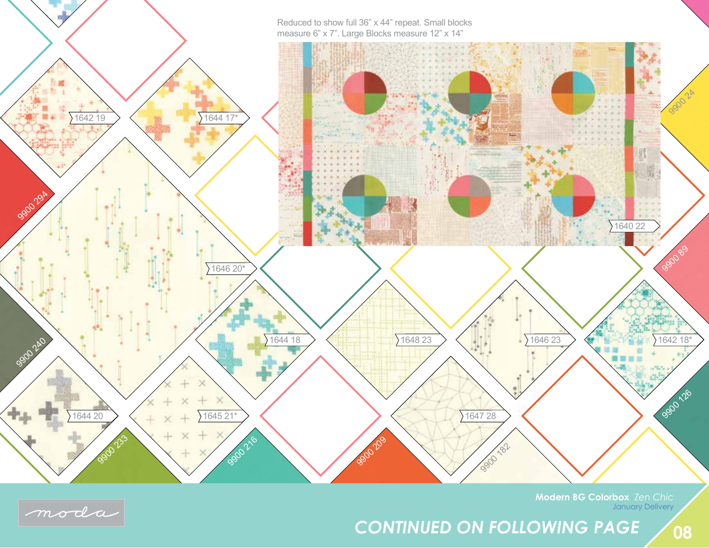Reduced to show full 36" x 44" repeat. Small blocks measure 6" x 7". Large Blocks measure 12" x 14"





**Modern BG Colorbox** *Zen Chic* January Delivery

*CONTINUED ON FOLLOWING PAGE*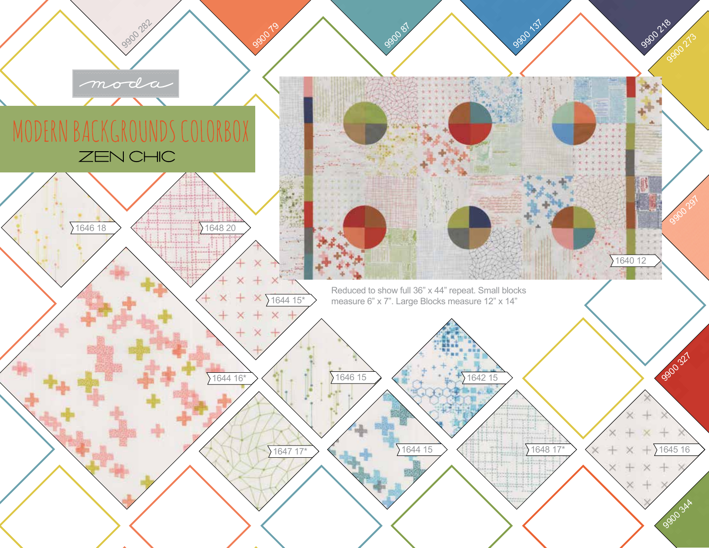